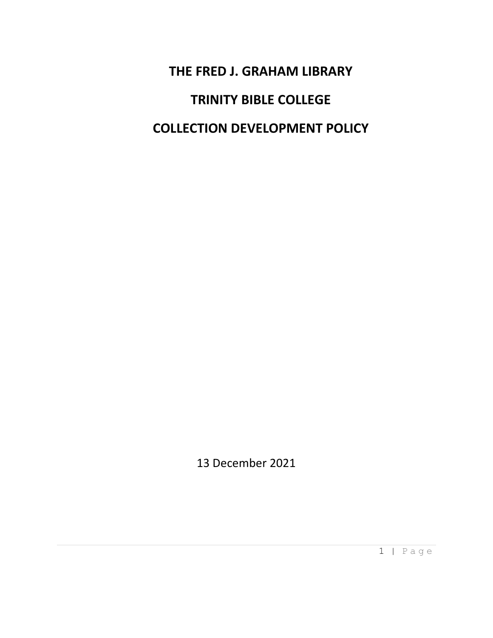**THE FRED J. GRAHAM LIBRARY TRINITY BIBLE COLLEGE COLLECTION DEVELOPMENT POLICY**

13 December 2021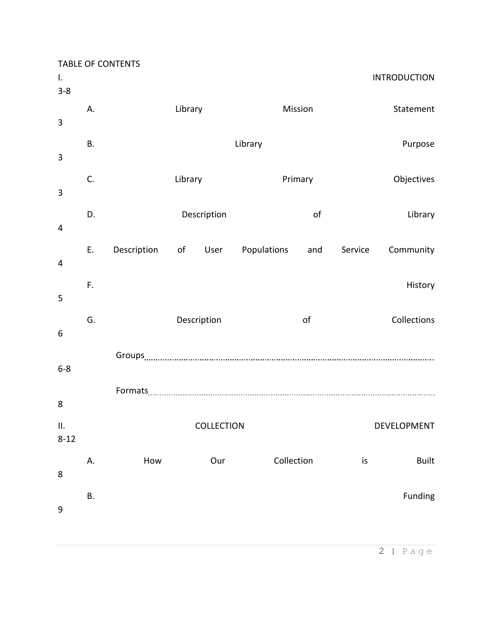| $\mathbf{I}$ .<br>$3 - 8$ |           | <b>TABLE OF CONTENTS</b>            |             |             |         |            |         | <b>INTRODUCTION</b> |
|---------------------------|-----------|-------------------------------------|-------------|-------------|---------|------------|---------|---------------------|
| 3                         | А.        |                                     | Library     |             |         | Mission    |         | Statement           |
| 3                         | <b>B.</b> |                                     |             |             | Library |            |         | Purpose             |
| 3                         | C.        |                                     | Library     |             |         | Primary    |         | Objectives          |
| $\overline{4}$            | D.        |                                     |             | Description |         | of         |         | Library             |
| $\overline{4}$            | E.        | Description of User Populations and |             |             |         |            | Service | Community           |
| 5                         | F.        |                                     |             |             |         |            |         | History             |
| 6                         | G.        |                                     | Description |             |         | of         |         | Collections         |
| $6 - 8$                   |           |                                     |             |             |         |            |         |                     |
| 8                         |           |                                     |             |             |         |            |         |                     |
| П.<br>$8 - 12$            |           | COLLECTION<br>DEVELOPMENT           |             |             |         |            |         |                     |
| 8                         | А.        | How                                 |             | Our         |         | Collection | is      | <b>Built</b>        |
| $\boldsymbol{9}$          | Β.        |                                     |             |             |         |            |         | Funding             |

2 | Page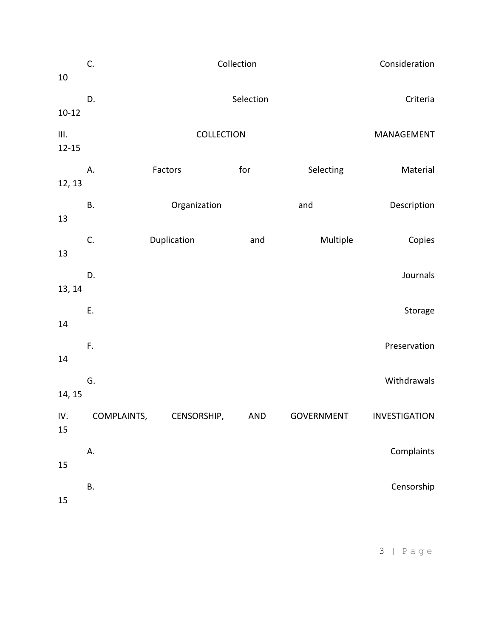| 10                | C.          | Consideration |          |            |               |
|-------------------|-------------|---------------|----------|------------|---------------|
| $10 - 12$         | D.          | Selection     | Criteria |            |               |
| III.<br>$12 - 15$ |             | MANAGEMENT    |          |            |               |
| 12, 13            | А.          | Factors       | for      | Selecting  | Material      |
| 13                | Β.          | Organization  |          | and        | Description   |
| 13                | C.          | Duplication   | and      | Multiple   | Copies        |
| 13, 14            | D.          |               |          |            | Journals      |
| 14                | E.          |               |          |            | Storage       |
| 14                | F.          |               |          |            | Preservation  |
| 14, 15            | G.          |               |          |            | Withdrawals   |
| IV.<br>15         | COMPLAINTS, | CENSORSHIP,   | AND      | GOVERNMENT | INVESTIGATION |
| 15                | А.          |               |          |            | Complaints    |
| 15                | В.          |               |          |            | Censorship    |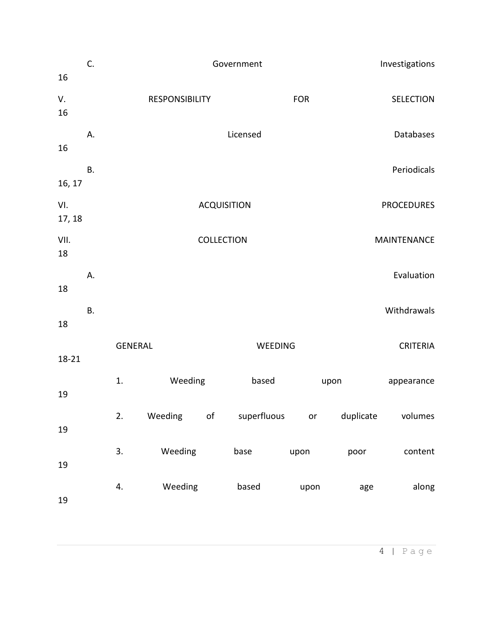| 16            | C.        | Government     |                       |                   |                                             |                    |      | Investigations   |  |  |
|---------------|-----------|----------------|-----------------------|-------------------|---------------------------------------------|--------------------|------|------------------|--|--|
| V.<br>16      |           |                | <b>RESPONSIBILITY</b> |                   |                                             | <b>FOR</b>         |      | <b>SELECTION</b> |  |  |
| 16            | Α.        |                |                       |                   | Licensed                                    |                    |      | Databases        |  |  |
| 16, 17        | <b>B.</b> |                |                       |                   |                                             |                    |      | Periodicals      |  |  |
| VI.<br>17, 18 |           |                |                       |                   | <b>PROCEDURES</b>                           |                    |      |                  |  |  |
| VII.<br>18    |           |                |                       | <b>COLLECTION</b> |                                             | <b>MAINTENANCE</b> |      |                  |  |  |
| 18            | А.        |                |                       |                   |                                             |                    |      | Evaluation       |  |  |
| 18            | <b>B.</b> |                |                       |                   |                                             |                    |      | Withdrawals      |  |  |
| 18-21         |           | <b>GENERAL</b> |                       |                   | WEEDING                                     | <b>CRITERIA</b>    |      |                  |  |  |
| 19            |           | 1.             | Weeding               |                   | based                                       |                    | upon | appearance       |  |  |
| 19            |           | 2.             |                       |                   | Weeding of superfluous or duplicate volumes |                    |      |                  |  |  |
| 19            |           | 3.             | Weeding               |                   | base                                        | upon               | poor | content          |  |  |
| 19            |           | 4.             | Weeding               |                   | based                                       | upon               | age  | along            |  |  |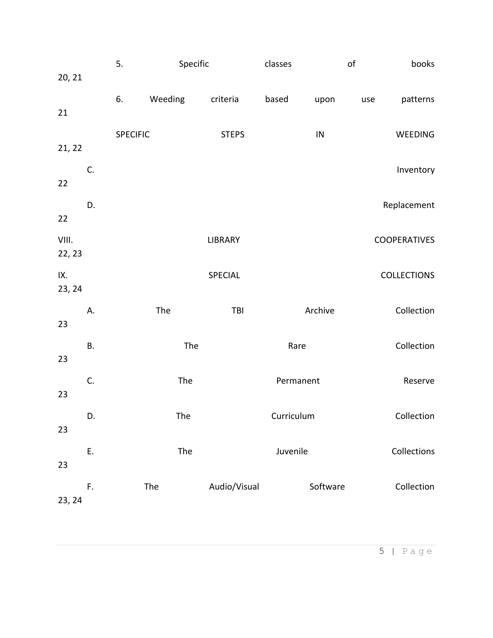|               |           | 5.              |         | Specific |              | classes    |            | of  | books               |
|---------------|-----------|-----------------|---------|----------|--------------|------------|------------|-----|---------------------|
| 20, 21        |           |                 |         |          |              |            |            |     |                     |
|               |           | 6.              | Weeding |          | criteria     | based      | upon       | use | patterns            |
| 21            |           |                 |         |          |              |            |            |     |                     |
| 21, 22        |           | <b>SPECIFIC</b> |         |          | <b>STEPS</b> |            | ${\sf IN}$ |     | WEEDING             |
|               | C.        |                 |         |          |              |            |            |     | Inventory           |
| 22            |           |                 |         |          |              |            |            |     |                     |
|               | D.        |                 |         |          |              |            |            |     | Replacement         |
| 22            |           |                 |         |          |              |            |            |     |                     |
| VIII.         |           |                 |         |          | LIBRARY      |            |            |     | <b>COOPERATIVES</b> |
| 22, 23        |           |                 |         |          |              |            |            |     |                     |
| IX.<br>23, 24 |           |                 |         |          | SPECIAL      |            |            |     | <b>COLLECTIONS</b>  |
|               | А.        |                 | The     |          | TBI          |            | Archive    |     | Collection          |
| 23            |           |                 |         |          |              |            |            |     |                     |
|               | <b>B.</b> |                 |         | The      |              | Rare       |            |     | Collection          |
| 23            |           |                 |         |          |              |            |            |     |                     |
| 23            | C.        |                 |         | The      |              | Permanent  |            |     | Reserve             |
|               |           |                 |         |          |              | Curriculum |            |     | Collection          |
| 23            | D.        |                 |         | The      |              |            |            |     |                     |
|               | Е.        |                 |         | The      |              | Juvenile   |            |     | Collections         |
| 23            |           |                 |         |          |              |            |            |     |                     |
|               | F.        |                 | The     |          | Audio/Visual |            | Software   |     | Collection          |
| 23, 24        |           |                 |         |          |              |            |            |     |                     |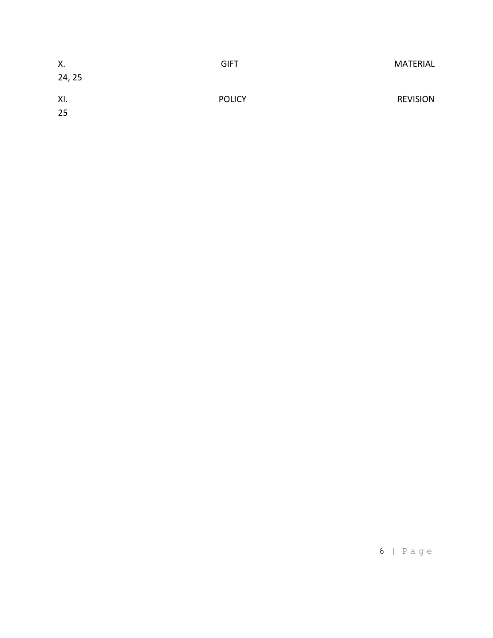| Χ.<br>24, 25 | <b>GIFT</b>   | MATERIAL        |
|--------------|---------------|-----------------|
| XI.<br>25    | <b>POLICY</b> | <b>REVISION</b> |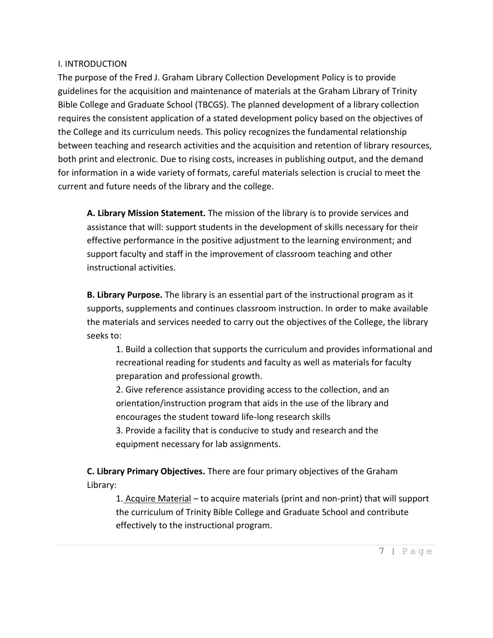### I. INTRODUCTION

The purpose of the Fred J. Graham Library Collection Development Policy is to provide guidelines for the acquisition and maintenance of materials at the Graham Library of Trinity Bible College and Graduate School (TBCGS). The planned development of a library collection requires the consistent application of a stated development policy based on the objectives of the College and its curriculum needs. This policy recognizes the fundamental relationship between teaching and research activities and the acquisition and retention of library resources, both print and electronic. Due to rising costs, increases in publishing output, and the demand for information in a wide variety of formats, careful materials selection is crucial to meet the current and future needs of the library and the college.

**A. Library Mission Statement.** The mission of the library is to provide services and assistance that will: support students in the development of skills necessary for their effective performance in the positive adjustment to the learning environment; and support faculty and staff in the improvement of classroom teaching and other instructional activities.

**B. Library Purpose.** The library is an essential part of the instructional program as it supports, supplements and continues classroom instruction. In order to make available the materials and services needed to carry out the objectives of the College, the library seeks to:

1. Build a collection that supports the curriculum and provides informational and recreational reading for students and faculty as well as materials for faculty preparation and professional growth.

2. Give reference assistance providing access to the collection, and an orientation/instruction program that aids in the use of the library and encourages the student toward life-long research skills

3. Provide a facility that is conducive to study and research and the equipment necessary for lab assignments.

**C. Library Primary Objectives.** There are four primary objectives of the Graham Library:

1. Acquire Material – to acquire materials (print and non-print) that will support the curriculum of Trinity Bible College and Graduate School and contribute effectively to the instructional program.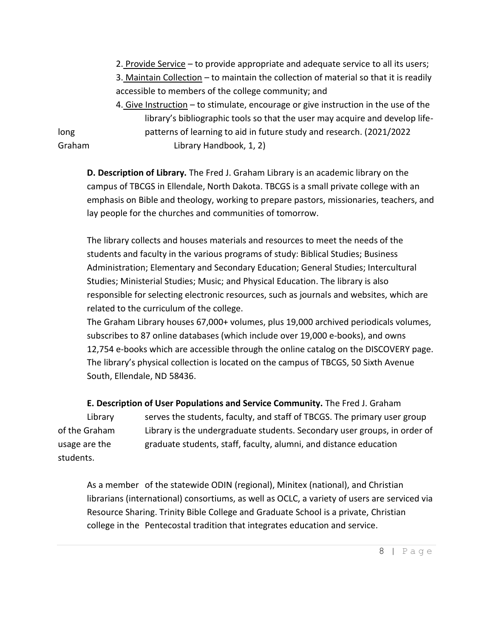2. Provide Service – to provide appropriate and adequate service to all its users; 3. Maintain Collection – to maintain the collection of material so that it is readily accessible to members of the college community; and

4. Give Instruction – to stimulate, encourage or give instruction in the use of the library's bibliographic tools so that the user may acquire and develop lifelong patterns of learning to aid in future study and research. (2021/2022 Graham Library Handbook, 1, 2)

**D. Description of Library.** The Fred J. Graham Library is an academic library on the campus of TBCGS in Ellendale, North Dakota. TBCGS is a small private college with an emphasis on Bible and theology, working to prepare pastors, missionaries, teachers, and lay people for the churches and communities of tomorrow.

The library collects and houses materials and resources to meet the needs of the students and faculty in the various programs of study: Biblical Studies; Business Administration; Elementary and Secondary Education; General Studies; Intercultural Studies; Ministerial Studies; Music; and Physical Education. The library is also responsible for selecting electronic resources, such as journals and websites, which are related to the curriculum of the college.

The Graham Library houses 67,000+ volumes, plus 19,000 archived periodicals volumes, subscribes to 87 online databases (which include over 19,000 e-books), and owns 12,754 e-books which are accessible through the online catalog on the DISCOVERY page. The library's physical collection is located on the campus of TBCGS, 50 Sixth Avenue South, Ellendale, ND 58436.

**E. Description of User Populations and Service Community.** The Fred J. Graham Library serves the students, faculty, and staff of TBCGS. The primary user group of the Graham Library is the undergraduate students. Secondary user groups, in order of usage are the graduate students, staff, faculty, alumni, and distance education students.

As a member of the statewide ODIN (regional), Minitex (national), and Christian librarians (international) consortiums, as well as OCLC, a variety of users are serviced via Resource Sharing. Trinity Bible College and Graduate School is a private, Christian college in the Pentecostal tradition that integrates education and service.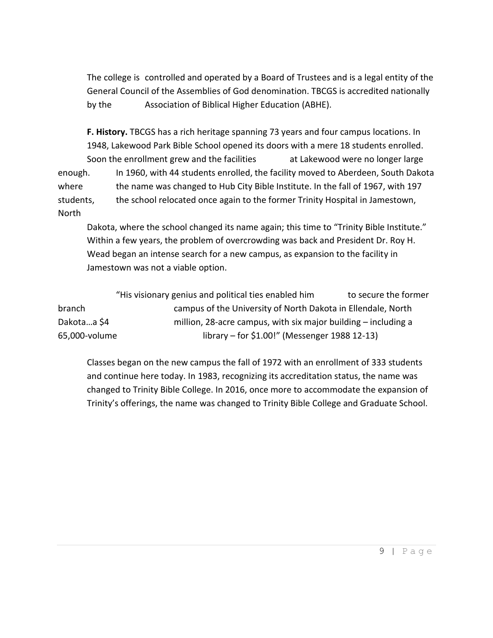The college is controlled and operated by a Board of Trustees and is a legal entity of the General Council of the Assemblies of God denomination. TBCGS is accredited nationally by the Association of Biblical Higher Education (ABHE).

**F. History.** TBCGS has a rich heritage spanning 73 years and four campus locations. In 1948, Lakewood Park Bible School opened its doors with a mere 18 students enrolled. Soon the enrollment grew and the facilities at Lakewood were no longer large enough. In 1960, with 44 students enrolled, the facility moved to Aberdeen, South Dakota where the name was changed to Hub City Bible Institute. In the fall of 1967, with 197 students, the school relocated once again to the former Trinity Hospital in Jamestown, North

Dakota, where the school changed its name again; this time to "Trinity Bible Institute." Within a few years, the problem of overcrowding was back and President Dr. Roy H. Wead began an intense search for a new campus, as expansion to the facility in Jamestown was not a viable option.

"His visionary genius and political ties enabled him to secure the former branch campus of the University of North Dakota in Ellendale, North Dakota...a \$4 million, 28-acre campus, with six major building – including a 65,000-volume library – for \$1.00!" (Messenger 1988 12-13)

Classes began on the new campus the fall of 1972 with an enrollment of 333 students and continue here today. In 1983, recognizing its accreditation status, the name was changed to Trinity Bible College. In 2016, once more to accommodate the expansion of Trinity's offerings, the name was changed to Trinity Bible College and Graduate School.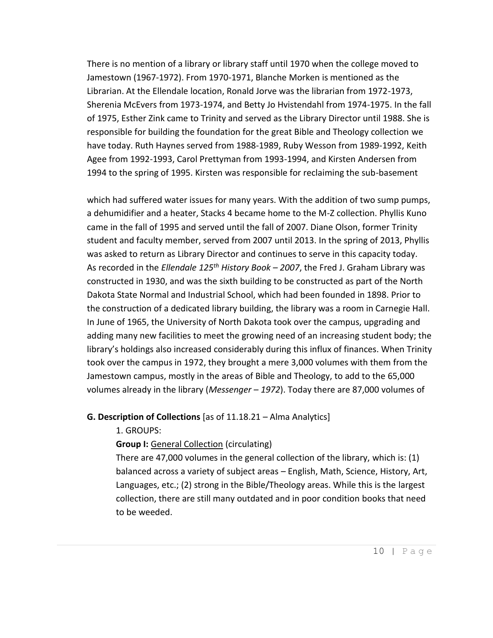There is no mention of a library or library staff until 1970 when the college moved to Jamestown (1967-1972). From 1970-1971, Blanche Morken is mentioned as the Librarian. At the Ellendale location, Ronald Jorve was the librarian from 1972-1973, Sherenia McEvers from 1973-1974, and Betty Jo Hvistendahl from 1974-1975. In the fall of 1975, Esther Zink came to Trinity and served as the Library Director until 1988. She is responsible for building the foundation for the great Bible and Theology collection we have today. Ruth Haynes served from 1988-1989, Ruby Wesson from 1989-1992, Keith Agee from 1992-1993, Carol Prettyman from 1993-1994, and Kirsten Andersen from 1994 to the spring of 1995. Kirsten was responsible for reclaiming the sub-basement

which had suffered water issues for many years. With the addition of two sump pumps, a dehumidifier and a heater, Stacks 4 became home to the M-Z collection. Phyllis Kuno came in the fall of 1995 and served until the fall of 2007. Diane Olson, former Trinity student and faculty member, served from 2007 until 2013. In the spring of 2013, Phyllis was asked to return as Library Director and continues to serve in this capacity today. As recorded in the *Ellendale 125th History Book – 2007*, the Fred J. Graham Library was constructed in 1930, and was the sixth building to be constructed as part of the North Dakota State Normal and Industrial School, which had been founded in 1898. Prior to the construction of a dedicated library building, the library was a room in Carnegie Hall. In June of 1965, the University of North Dakota took over the campus, upgrading and adding many new facilities to meet the growing need of an increasing student body; the library's holdings also increased considerably during this influx of finances. When Trinity took over the campus in 1972, they brought a mere 3,000 volumes with them from the Jamestown campus, mostly in the areas of Bible and Theology, to add to the 65,000 volumes already in the library (*Messenger – 1972*). Today there are 87,000 volumes of

#### **G. Description of Collections** [as of 11.18.21 – Alma Analytics]

1. GROUPS:

**Group I:** General Collection (circulating)

There are 47,000 volumes in the general collection of the library, which is: (1) balanced across a variety of subject areas – English, Math, Science, History, Art, Languages, etc.; (2) strong in the Bible/Theology areas. While this is the largest collection, there are still many outdated and in poor condition books that need to be weeded.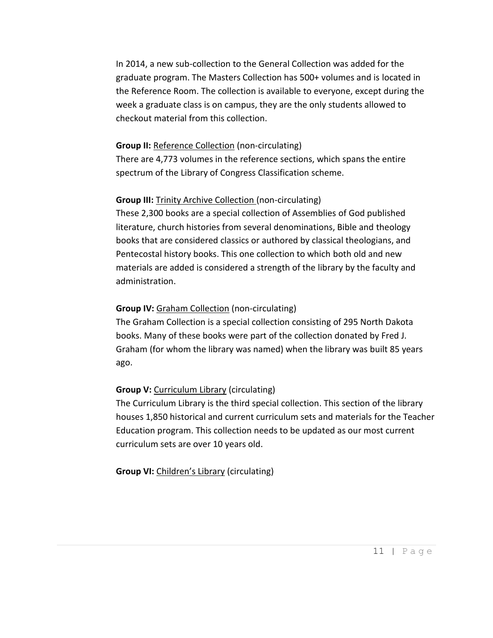In 2014, a new sub-collection to the General Collection was added for the graduate program. The Masters Collection has 500+ volumes and is located in the Reference Room. The collection is available to everyone, except during the week a graduate class is on campus, they are the only students allowed to checkout material from this collection.

#### **Group II: Reference Collection (non-circulating)**

There are 4,773 volumes in the reference sections, which spans the entire spectrum of the Library of Congress Classification scheme.

#### **Group III:** Trinity Archive Collection (non-circulating)

These 2,300 books are a special collection of Assemblies of God published literature, church histories from several denominations, Bible and theology books that are considered classics or authored by classical theologians, and Pentecostal history books. This one collection to which both old and new materials are added is considered a strength of the library by the faculty and administration.

#### **Group IV:** Graham Collection (non-circulating)

The Graham Collection is a special collection consisting of 295 North Dakota books. Many of these books were part of the collection donated by Fred J. Graham (for whom the library was named) when the library was built 85 years ago.

#### **Group V:** Curriculum Library (circulating)

The Curriculum Library is the third special collection. This section of the library houses 1,850 historical and current curriculum sets and materials for the Teacher Education program. This collection needs to be updated as our most current curriculum sets are over 10 years old.

**Group VI:** Children's Library (circulating)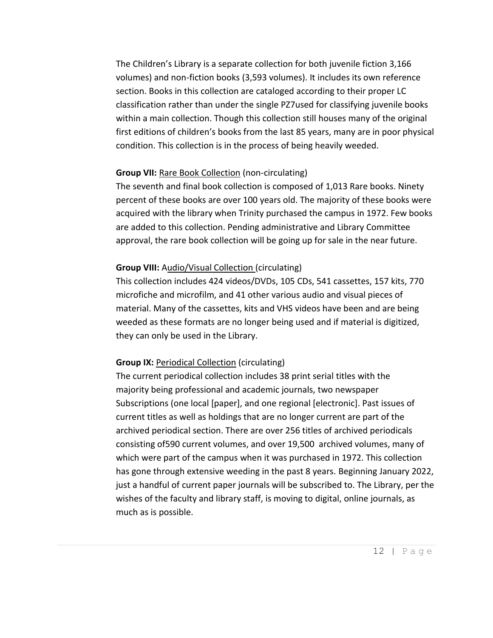The Children's Library is a separate collection for both juvenile fiction 3,166 volumes) and non-fiction books (3,593 volumes). It includes its own reference section. Books in this collection are cataloged according to their proper LC classification rather than under the single PZ7used for classifying juvenile books within a main collection. Though this collection still houses many of the original first editions of children's books from the last 85 years, many are in poor physical condition. This collection is in the process of being heavily weeded.

#### **Group VII:** Rare Book Collection (non-circulating)

The seventh and final book collection is composed of 1,013 Rare books. Ninety percent of these books are over 100 years old. The majority of these books were acquired with the library when Trinity purchased the campus in 1972. Few books are added to this collection. Pending administrative and Library Committee approval, the rare book collection will be going up for sale in the near future.

#### **Group VIII:** Audio/Visual Collection (circulating)

This collection includes 424 videos/DVDs, 105 CDs, 541 cassettes, 157 kits, 770 microfiche and microfilm, and 41 other various audio and visual pieces of material. Many of the cassettes, kits and VHS videos have been and are being weeded as these formats are no longer being used and if material is digitized, they can only be used in the Library.

#### **Group IX:** Periodical Collection (circulating)

The current periodical collection includes 38 print serial titles with the majority being professional and academic journals, two newspaper Subscriptions (one local [paper], and one regional [electronic]. Past issues of current titles as well as holdings that are no longer current are part of the archived periodical section. There are over 256 titles of archived periodicals consisting of590 current volumes, and over 19,500 archived volumes, many of which were part of the campus when it was purchased in 1972. This collection has gone through extensive weeding in the past 8 years. Beginning January 2022, just a handful of current paper journals will be subscribed to. The Library, per the wishes of the faculty and library staff, is moving to digital, online journals, as much as is possible.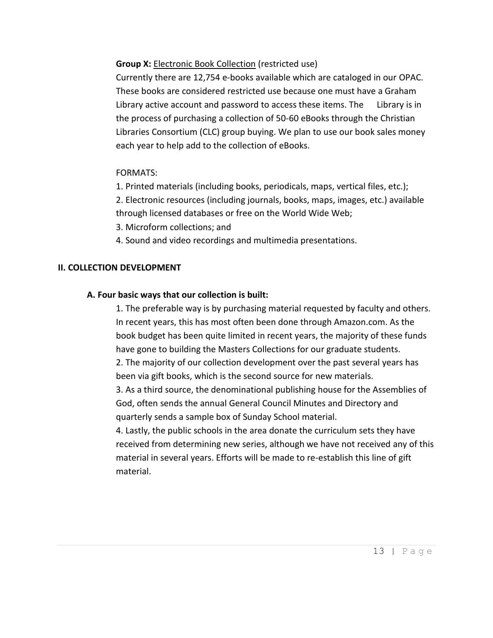**Group X:** Electronic Book Collection (restricted use)

Currently there are 12,754 e-books available which are cataloged in our OPAC. These books are considered restricted use because one must have a Graham Library active account and password to access these items. The Library is in the process of purchasing a collection of 50-60 eBooks through the Christian Libraries Consortium (CLC) group buying. We plan to use our book sales money each year to help add to the collection of eBooks.

## FORMATS:

1. Printed materials (including books, periodicals, maps, vertical files, etc.);

2. Electronic resources (including journals, books, maps, images, etc.) available through licensed databases or free on the World Wide Web;

- 3. Microform collections; and
- 4. Sound and video recordings and multimedia presentations.

#### **II. COLLECTION DEVELOPMENT**

#### **A. Four basic ways that our collection is built:**

1. The preferable way is by purchasing material requested by faculty and others. In recent years, this has most often been done through Amazon.com. As the book budget has been quite limited in recent years, the majority of these funds have gone to building the Masters Collections for our graduate students.

2. The majority of our collection development over the past several years has been via gift books, which is the second source for new materials.

3. As a third source, the denominational publishing house for the Assemblies of God, often sends the annual General Council Minutes and Directory and quarterly sends a sample box of Sunday School material.

4. Lastly, the public schools in the area donate the curriculum sets they have received from determining new series, although we have not received any of this material in several years. Efforts will be made to re-establish this line of gift material.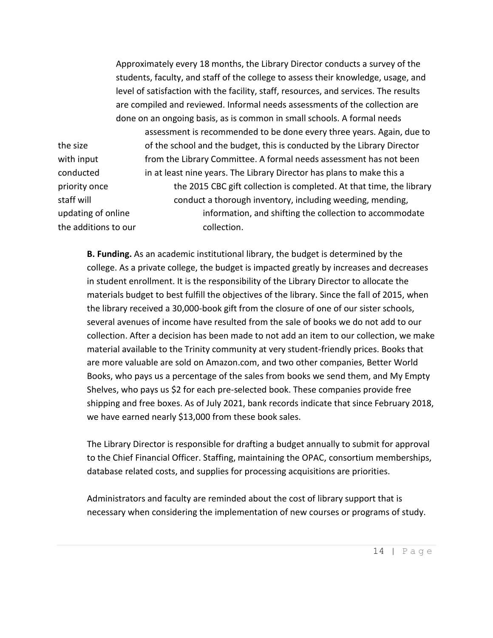Approximately every 18 months, the Library Director conducts a survey of the students, faculty, and staff of the college to assess their knowledge, usage, and level of satisfaction with the facility, staff, resources, and services. The results are compiled and reviewed. Informal needs assessments of the collection are done on an ongoing basis, as is common in small schools. A formal needs assessment is recommended to be done every three years. Again, due to the size of the school and the budget, this is conducted by the Library Director with input from the Library Committee. A formal needs assessment has not been conducted in at least nine years. The Library Director has plans to make this a priority once the 2015 CBC gift collection is completed. At that time, the library staff will conduct a thorough inventory, including weeding, mending, updating of online information, and shifting the collection to accommodate the additions to our end onlection.

**B. Funding.** As an academic institutional library, the budget is determined by the college. As a private college, the budget is impacted greatly by increases and decreases in student enrollment. It is the responsibility of the Library Director to allocate the materials budget to best fulfill the objectives of the library. Since the fall of 2015, when the library received a 30,000-book gift from the closure of one of our sister schools, several avenues of income have resulted from the sale of books we do not add to our collection. After a decision has been made to not add an item to our collection, we make material available to the Trinity community at very student-friendly prices. Books that are more valuable are sold on Amazon.com, and two other companies, Better World Books, who pays us a percentage of the sales from books we send them, and My Empty Shelves, who pays us \$2 for each pre-selected book. These companies provide free shipping and free boxes. As of July 2021, bank records indicate that since February 2018, we have earned nearly \$13,000 from these book sales.

The Library Director is responsible for drafting a budget annually to submit for approval to the Chief Financial Officer. Staffing, maintaining the OPAC, consortium memberships, database related costs, and supplies for processing acquisitions are priorities.

Administrators and faculty are reminded about the cost of library support that is necessary when considering the implementation of new courses or programs of study.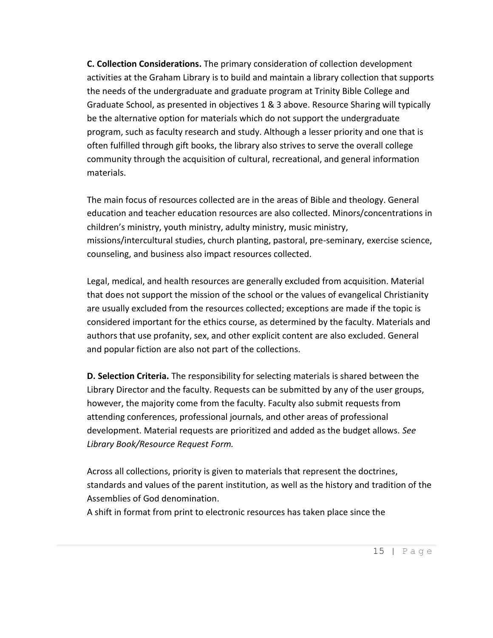**C. Collection Considerations.** The primary consideration of collection development activities at the Graham Library is to build and maintain a library collection that supports the needs of the undergraduate and graduate program at Trinity Bible College and Graduate School, as presented in objectives 1 & 3 above. Resource Sharing will typically be the alternative option for materials which do not support the undergraduate program, such as faculty research and study. Although a lesser priority and one that is often fulfilled through gift books, the library also strives to serve the overall college community through the acquisition of cultural, recreational, and general information materials.

The main focus of resources collected are in the areas of Bible and theology. General education and teacher education resources are also collected. Minors/concentrations in children's ministry, youth ministry, adulty ministry, music ministry, missions/intercultural studies, church planting, pastoral, pre-seminary, exercise science, counseling, and business also impact resources collected.

Legal, medical, and health resources are generally excluded from acquisition. Material that does not support the mission of the school or the values of evangelical Christianity are usually excluded from the resources collected; exceptions are made if the topic is considered important for the ethics course, as determined by the faculty. Materials and authors that use profanity, sex, and other explicit content are also excluded. General and popular fiction are also not part of the collections.

**D. Selection Criteria.** The responsibility for selecting materials is shared between the Library Director and the faculty. Requests can be submitted by any of the user groups, however, the majority come from the faculty. Faculty also submit requests from attending conferences, professional journals, and other areas of professional development. Material requests are prioritized and added as the budget allows. *See Library Book/Resource Request Form.*

Across all collections, priority is given to materials that represent the doctrines, standards and values of the parent institution, as well as the history and tradition of the Assemblies of God denomination.

A shift in format from print to electronic resources has taken place since the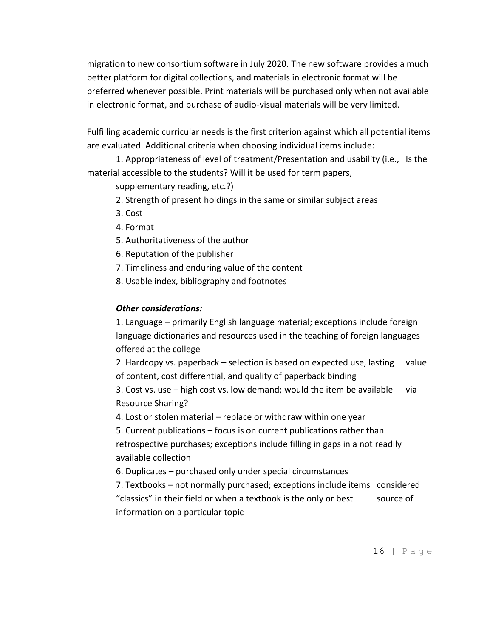migration to new consortium software in July 2020. The new software provides a much better platform for digital collections, and materials in electronic format will be preferred whenever possible. Print materials will be purchased only when not available in electronic format, and purchase of audio-visual materials will be very limited.

Fulfilling academic curricular needs is the first criterion against which all potential items are evaluated. Additional criteria when choosing individual items include:

1. Appropriateness of level of treatment/Presentation and usability (i.e., Is the material accessible to the students? Will it be used for term papers,

supplementary reading, etc.?)

- 2. Strength of present holdings in the same or similar subject areas
- 3. Cost
- 4. Format
- 5. Authoritativeness of the author
- 6. Reputation of the publisher
- 7. Timeliness and enduring value of the content
- 8. Usable index, bibliography and footnotes

## *Other considerations:*

1. Language – primarily English language material; exceptions include foreign language dictionaries and resources used in the teaching of foreign languages offered at the college

2. Hardcopy vs. paperback – selection is based on expected use, lasting value of content, cost differential, and quality of paperback binding

3. Cost vs. use  $-$  high cost vs. low demand; would the item be available via Resource Sharing?

4. Lost or stolen material – replace or withdraw within one year

5. Current publications – focus is on current publications rather than retrospective purchases; exceptions include filling in gaps in a not readily available collection

6. Duplicates – purchased only under special circumstances

7. Textbooks – not normally purchased; exceptions include items considered "classics" in their field or when a textbook is the only or best source of information on a particular topic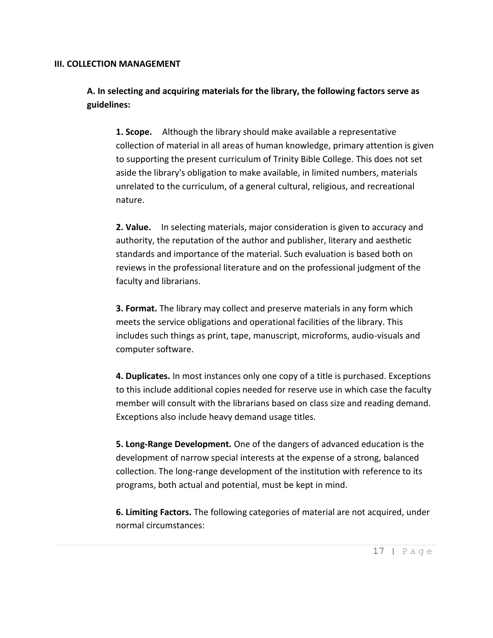#### **III. COLLECTION MANAGEMENT**

**A. In selecting and acquiring materials for the library, the following factors serve as guidelines:**

**1. Scope.** Although the library should make available a representative collection of material in all areas of human knowledge, primary attention is given to supporting the present curriculum of Trinity Bible College. This does not set aside the library's obligation to make available, in limited numbers, materials unrelated to the curriculum, of a general cultural, religious, and recreational nature.

**2. Value.** In selecting materials, major consideration is given to accuracy and authority, the reputation of the author and publisher, literary and aesthetic standards and importance of the material. Such evaluation is based both on reviews in the professional literature and on the professional judgment of the faculty and librarians.

**3. Format.** The library may collect and preserve materials in any form which meets the service obligations and operational facilities of the library. This includes such things as print, tape, manuscript, microforms, audio-visuals and computer software.

**4. Duplicates.** In most instances only one copy of a title is purchased. Exceptions to this include additional copies needed for reserve use in which case the faculty member will consult with the librarians based on class size and reading demand. Exceptions also include heavy demand usage titles.

**5. Long-Range Development.** One of the dangers of advanced education is the development of narrow special interests at the expense of a strong, balanced collection. The long-range development of the institution with reference to its programs, both actual and potential, must be kept in mind.

**6. Limiting Factors.** The following categories of material are not acquired, under normal circumstances: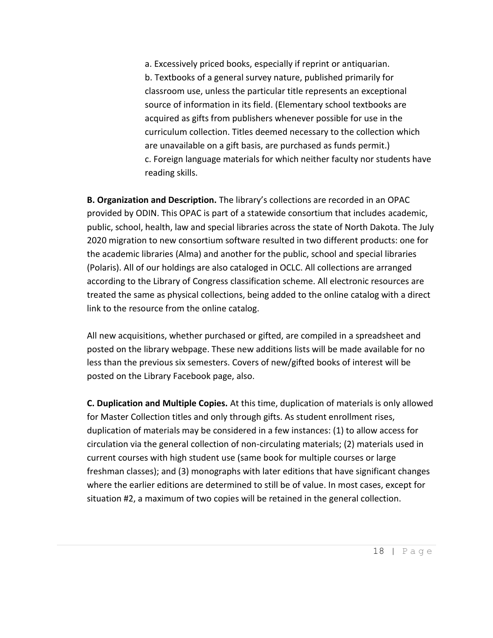a. Excessively priced books, especially if reprint or antiquarian. b. Textbooks of a general survey nature, published primarily for classroom use, unless the particular title represents an exceptional source of information in its field. (Elementary school textbooks are acquired as gifts from publishers whenever possible for use in the curriculum collection. Titles deemed necessary to the collection which are unavailable on a gift basis, are purchased as funds permit.) c. Foreign language materials for which neither faculty nor students have reading skills.

**B. Organization and Description.** The library's collections are recorded in an OPAC provided by ODIN. This OPAC is part of a statewide consortium that includes academic, public, school, health, law and special libraries across the state of North Dakota. The July 2020 migration to new consortium software resulted in two different products: one for the academic libraries (Alma) and another for the public, school and special libraries (Polaris). All of our holdings are also cataloged in OCLC. All collections are arranged according to the Library of Congress classification scheme. All electronic resources are treated the same as physical collections, being added to the online catalog with a direct link to the resource from the online catalog.

All new acquisitions, whether purchased or gifted, are compiled in a spreadsheet and posted on the library webpage. These new additions lists will be made available for no less than the previous six semesters. Covers of new/gifted books of interest will be posted on the Library Facebook page, also.

**C. Duplication and Multiple Copies.** At this time, duplication of materials is only allowed for Master Collection titles and only through gifts. As student enrollment rises, duplication of materials may be considered in a few instances: (1) to allow access for circulation via the general collection of non-circulating materials; (2) materials used in current courses with high student use (same book for multiple courses or large freshman classes); and (3) monographs with later editions that have significant changes where the earlier editions are determined to still be of value. In most cases, except for situation #2, a maximum of two copies will be retained in the general collection.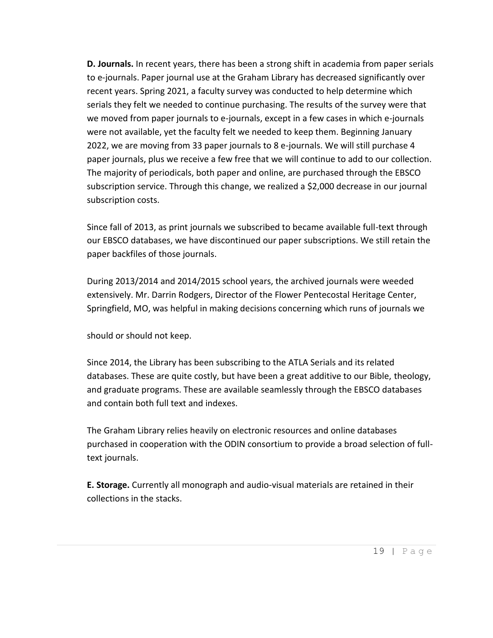**D. Journals.** In recent years, there has been a strong shift in academia from paper serials to e-journals. Paper journal use at the Graham Library has decreased significantly over recent years. Spring 2021, a faculty survey was conducted to help determine which serials they felt we needed to continue purchasing. The results of the survey were that we moved from paper journals to e-journals, except in a few cases in which e-journals were not available, yet the faculty felt we needed to keep them. Beginning January 2022, we are moving from 33 paper journals to 8 e-journals. We will still purchase 4 paper journals, plus we receive a few free that we will continue to add to our collection. The majority of periodicals, both paper and online, are purchased through the EBSCO subscription service. Through this change, we realized a \$2,000 decrease in our journal subscription costs.

Since fall of 2013, as print journals we subscribed to became available full-text through our EBSCO databases, we have discontinued our paper subscriptions. We still retain the paper backfiles of those journals.

During 2013/2014 and 2014/2015 school years, the archived journals were weeded extensively. Mr. Darrin Rodgers, Director of the Flower Pentecostal Heritage Center, Springfield, MO, was helpful in making decisions concerning which runs of journals we

should or should not keep.

Since 2014, the Library has been subscribing to the ATLA Serials and its related databases. These are quite costly, but have been a great additive to our Bible, theology, and graduate programs. These are available seamlessly through the EBSCO databases and contain both full text and indexes.

The Graham Library relies heavily on electronic resources and online databases purchased in cooperation with the ODIN consortium to provide a broad selection of fulltext journals.

**E. Storage.** Currently all monograph and audio-visual materials are retained in their collections in the stacks.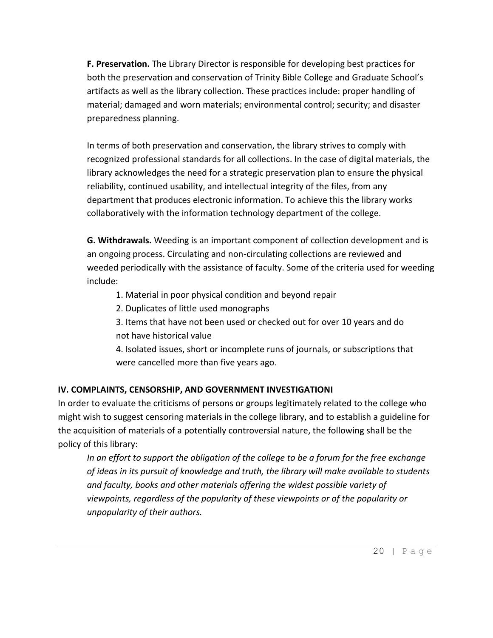**F. Preservation.** The Library Director is responsible for developing best practices for both the preservation and conservation of Trinity Bible College and Graduate School's artifacts as well as the library collection. These practices include: proper handling of material; damaged and worn materials; environmental control; security; and disaster preparedness planning.

In terms of both preservation and conservation, the library strives to comply with recognized professional standards for all collections. In the case of digital materials, the library acknowledges the need for a strategic preservation plan to ensure the physical reliability, continued usability, and intellectual integrity of the files, from any department that produces electronic information. To achieve this the library works collaboratively with the information technology department of the college.

**G. Withdrawals.** Weeding is an important component of collection development and is an ongoing process. Circulating and non-circulating collections are reviewed and weeded periodically with the assistance of faculty. Some of the criteria used for weeding include:

- 1. Material in poor physical condition and beyond repair
- 2. Duplicates of little used monographs
- 3. Items that have not been used or checked out for over 10 years and do not have historical value

4. Isolated issues, short or incomplete runs of journals, or subscriptions that were cancelled more than five years ago.

## **IV. COMPLAINTS, CENSORSHIP, AND GOVERNMENT INVESTIGATIONI**

In order to evaluate the criticisms of persons or groups legitimately related to the college who might wish to suggest censoring materials in the college library, and to establish a guideline for the acquisition of materials of a potentially controversial nature, the following shall be the policy of this library:

*In an effort to support the obligation of the college to be a forum for the free exchange of ideas in its pursuit of knowledge and truth, the library will make available to students and faculty, books and other materials offering the widest possible variety of viewpoints, regardless of the popularity of these viewpoints or of the popularity or unpopularity of their authors.*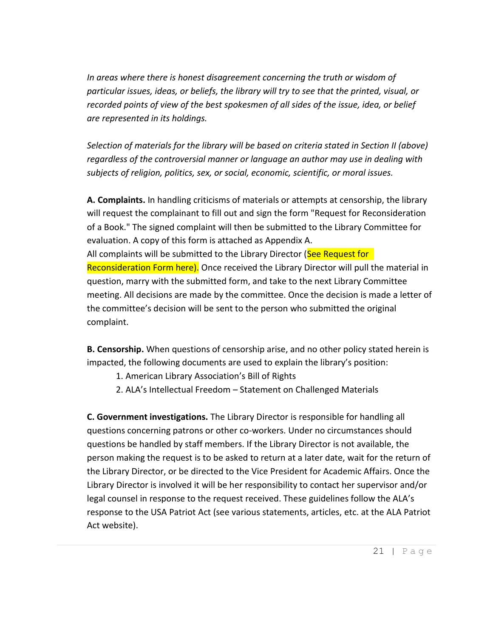*In areas where there is honest disagreement concerning the truth or wisdom of particular issues, ideas, or beliefs, the library will try to see that the printed, visual, or recorded points of view of the best spokesmen of all sides of the issue, idea, or belief are represented in its holdings.*

*Selection of materials for the library will be based on criteria stated in Section II (above) regardless of the controversial manner or language an author may use in dealing with subjects of religion, politics, sex, or social, economic, scientific, or moral issues.*

**A. Complaints.** In handling criticisms of materials or attempts at censorship, the library will request the complainant to fill out and sign the form "Request for Reconsideration of a Book." The signed complaint will then be submitted to the Library Committee for evaluation. A copy of this form is attached as Appendix A. All complaints will be submitted to the Library Director (See Request for Reconsideration Form here). Once received the Library Director will pull the material in question, marry with the submitted form, and take to the next Library Committee meeting. All decisions are made by the committee. Once the decision is made a letter of the committee's decision will be sent to the person who submitted the original complaint.

**B. Censorship.** When questions of censorship arise, and no other policy stated herein is impacted, the following documents are used to explain the library's position:

- 1. American Library Association's Bill of Rights
- 2. ALA's Intellectual Freedom Statement on Challenged Materials

**C. Government investigations.** The Library Director is responsible for handling all questions concerning patrons or other co-workers. Under no circumstances should questions be handled by staff members. If the Library Director is not available, the person making the request is to be asked to return at a later date, wait for the return of the Library Director, or be directed to the Vice President for Academic Affairs. Once the Library Director is involved it will be her responsibility to contact her supervisor and/or legal counsel in response to the request received. These guidelines follow the ALA's response to the USA Patriot Act (see various statements, articles, etc. at the ALA Patriot Act website).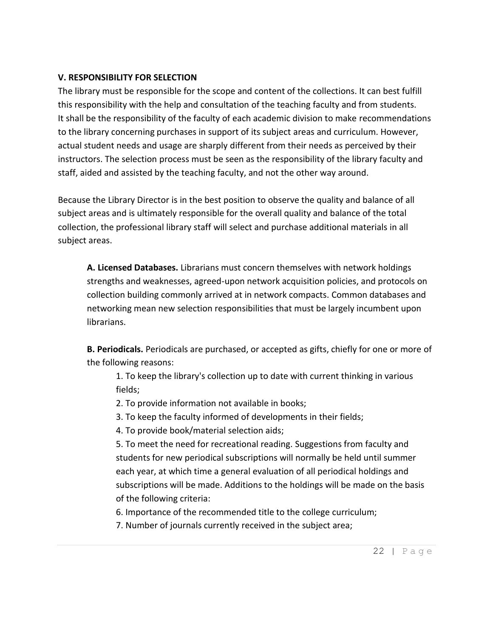## **V. RESPONSIBILITY FOR SELECTION**

The library must be responsible for the scope and content of the collections. It can best fulfill this responsibility with the help and consultation of the teaching faculty and from students. It shall be the responsibility of the faculty of each academic division to make recommendations to the library concerning purchases in support of its subject areas and curriculum. However, actual student needs and usage are sharply different from their needs as perceived by their instructors. The selection process must be seen as the responsibility of the library faculty and staff, aided and assisted by the teaching faculty, and not the other way around.

Because the Library Director is in the best position to observe the quality and balance of all subject areas and is ultimately responsible for the overall quality and balance of the total collection, the professional library staff will select and purchase additional materials in all subject areas.

**A. Licensed Databases.** Librarians must concern themselves with network holdings strengths and weaknesses, agreed-upon network acquisition policies, and protocols on collection building commonly arrived at in network compacts. Common databases and networking mean new selection responsibilities that must be largely incumbent upon librarians.

**B. Periodicals.** Periodicals are purchased, or accepted as gifts, chiefly for one or more of the following reasons:

1. To keep the library's collection up to date with current thinking in various fields;

- 2. To provide information not available in books;
- 3. To keep the faculty informed of developments in their fields;
- 4. To provide book/material selection aids;

5. To meet the need for recreational reading. Suggestions from faculty and students for new periodical subscriptions will normally be held until summer each year, at which time a general evaluation of all periodical holdings and subscriptions will be made. Additions to the holdings will be made on the basis of the following criteria:

6. Importance of the recommended title to the college curriculum;

7. Number of journals currently received in the subject area;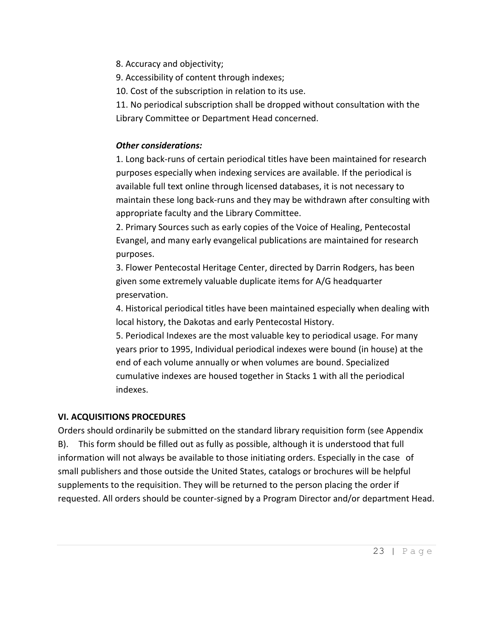8. Accuracy and objectivity;

9. Accessibility of content through indexes;

10. Cost of the subscription in relation to its use.

11. No periodical subscription shall be dropped without consultation with the Library Committee or Department Head concerned.

## *Other considerations:*

1. Long back-runs of certain periodical titles have been maintained for research purposes especially when indexing services are available. If the periodical is available full text online through licensed databases, it is not necessary to maintain these long back-runs and they may be withdrawn after consulting with appropriate faculty and the Library Committee.

2. Primary Sources such as early copies of the Voice of Healing, Pentecostal Evangel, and many early evangelical publications are maintained for research purposes.

3. Flower Pentecostal Heritage Center, directed by Darrin Rodgers, has been given some extremely valuable duplicate items for A/G headquarter preservation.

4. Historical periodical titles have been maintained especially when dealing with local history, the Dakotas and early Pentecostal History.

5. Periodical Indexes are the most valuable key to periodical usage. For many years prior to 1995, Individual periodical indexes were bound (in house) at the end of each volume annually or when volumes are bound. Specialized cumulative indexes are housed together in Stacks 1 with all the periodical indexes.

## **VI. ACQUISITIONS PROCEDURES**

Orders should ordinarily be submitted on the standard library requisition form (see Appendix B). This form should be filled out as fully as possible, although it is understood that full information will not always be available to those initiating orders. Especially in the case of small publishers and those outside the United States, catalogs or brochures will be helpful supplements to the requisition. They will be returned to the person placing the order if requested. All orders should be counter-signed by a Program Director and/or department Head.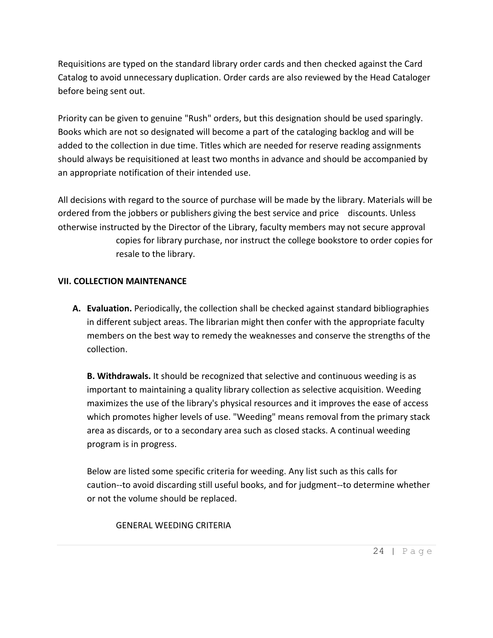Requisitions are typed on the standard library order cards and then checked against the Card Catalog to avoid unnecessary duplication. Order cards are also reviewed by the Head Cataloger before being sent out.

Priority can be given to genuine "Rush" orders, but this designation should be used sparingly. Books which are not so designated will become a part of the cataloging backlog and will be added to the collection in due time. Titles which are needed for reserve reading assignments should always be requisitioned at least two months in advance and should be accompanied by an appropriate notification of their intended use.

All decisions with regard to the source of purchase will be made by the library. Materials will be ordered from the jobbers or publishers giving the best service and price discounts. Unless otherwise instructed by the Director of the Library, faculty members may not secure approval copies for library purchase, nor instruct the college bookstore to order copies for resale to the library.

#### **VII. COLLECTION MAINTENANCE**

**A. Evaluation.** Periodically, the collection shall be checked against standard bibliographies in different subject areas. The librarian might then confer with the appropriate faculty members on the best way to remedy the weaknesses and conserve the strengths of the collection.

**B. Withdrawals.** It should be recognized that selective and continuous weeding is as important to maintaining a quality library collection as selective acquisition. Weeding maximizes the use of the library's physical resources and it improves the ease of access which promotes higher levels of use. "Weeding" means removal from the primary stack area as discards, or to a secondary area such as closed stacks. A continual weeding program is in progress.

Below are listed some specific criteria for weeding. Any list such as this calls for caution--to avoid discarding still useful books, and for judgment--to determine whether or not the volume should be replaced.

#### GENERAL WEEDING CRITERIA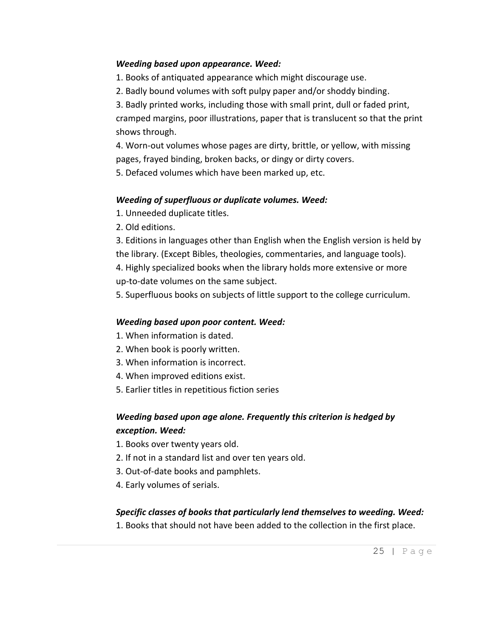### *Weeding based upon appearance. Weed:*

1. Books of antiquated appearance which might discourage use.

2. Badly bound volumes with soft pulpy paper and/or shoddy binding.

3. Badly printed works, including those with small print, dull or faded print, cramped margins, poor illustrations, paper that is translucent so that the print shows through.

4. Worn-out volumes whose pages are dirty, brittle, or yellow, with missing pages, frayed binding, broken backs, or dingy or dirty covers.

5. Defaced volumes which have been marked up, etc.

## *Weeding of superfluous or duplicate volumes. Weed:*

1. Unneeded duplicate titles.

2. Old editions.

3. Editions in languages other than English when the English version is held by the library. (Except Bibles, theologies, commentaries, and language tools). 4. Highly specialized books when the library holds more extensive or more up-to-date volumes on the same subject.

5. Superfluous books on subjects of little support to the college curriculum.

## *Weeding based upon poor content. Weed:*

- 1. When information is dated.
- 2. When book is poorly written.
- 3. When information is incorrect.
- 4. When improved editions exist.
- 5. Earlier titles in repetitious fiction series

# *Weeding based upon age alone. Frequently this criterion is hedged by exception. Weed:*

- 1. Books over twenty years old.
- 2. If not in a standard list and over ten years old.
- 3. Out-of-date books and pamphlets.
- 4. Early volumes of serials.

## *Specific classes of books that particularly lend themselves to weeding. Weed:*

1. Books that should not have been added to the collection in the first place.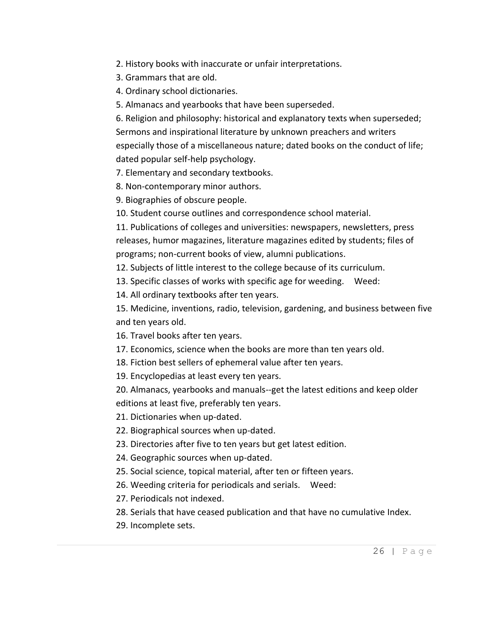- 2. History books with inaccurate or unfair interpretations.
- 3. Grammars that are old.
- 4. Ordinary school dictionaries.
- 5. Almanacs and yearbooks that have been superseded.

6. Religion and philosophy: historical and explanatory texts when superseded; Sermons and inspirational literature by unknown preachers and writers especially those of a miscellaneous nature; dated books on the conduct of life; dated popular self-help psychology.

7. Elementary and secondary textbooks.

8. Non-contemporary minor authors.

9. Biographies of obscure people.

10. Student course outlines and correspondence school material.

11. Publications of colleges and universities: newspapers, newsletters, press releases, humor magazines, literature magazines edited by students; files of programs; non-current books of view, alumni publications.

12. Subjects of little interest to the college because of its curriculum.

13. Specific classes of works with specific age for weeding. Weed:

14. All ordinary textbooks after ten years.

15. Medicine, inventions, radio, television, gardening, and business between five and ten years old.

16. Travel books after ten years.

17. Economics, science when the books are more than ten years old.

18. Fiction best sellers of ephemeral value after ten years.

19. Encyclopedias at least every ten years.

20. Almanacs, yearbooks and manuals--get the latest editions and keep older editions at least five, preferably ten years.

21. Dictionaries when up-dated.

22. Biographical sources when up-dated.

23. Directories after five to ten years but get latest edition.

24. Geographic sources when up-dated.

25. Social science, topical material, after ten or fifteen years.

26. Weeding criteria for periodicals and serials. Weed:

27. Periodicals not indexed.

28. Serials that have ceased publication and that have no cumulative Index.

29. Incomplete sets.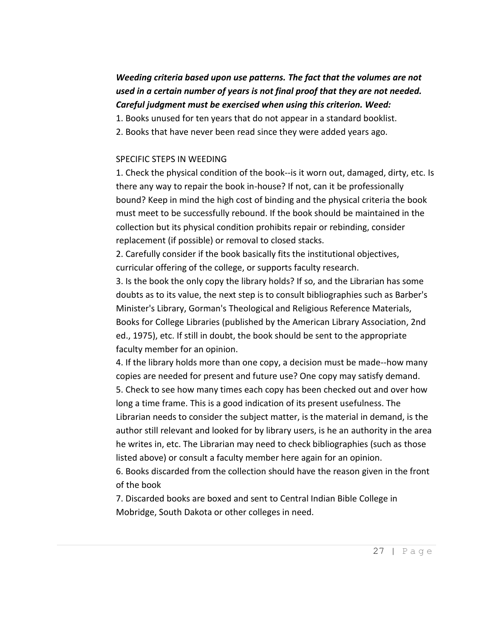# *Weeding criteria based upon use patterns. The fact that the volumes are not used in a certain number of years is not final proof that they are not needed. Careful judgment must be exercised when using this criterion. Weed:*

1. Books unused for ten years that do not appear in a standard booklist.

2. Books that have never been read since they were added years ago.

#### SPECIFIC STEPS IN WEEDING

1. Check the physical condition of the book--is it worn out, damaged, dirty, etc. Is there any way to repair the book in-house? If not, can it be professionally bound? Keep in mind the high cost of binding and the physical criteria the book must meet to be successfully rebound. If the book should be maintained in the collection but its physical condition prohibits repair or rebinding, consider replacement (if possible) or removal to closed stacks.

2. Carefully consider if the book basically fits the institutional objectives, curricular offering of the college, or supports faculty research.

3. Is the book the only copy the library holds? If so, and the Librarian has some doubts as to its value, the next step is to consult bibliographies such as Barber's Minister's Library, Gorman's Theological and Religious Reference Materials, Books for College Libraries (published by the American Library Association, 2nd ed., 1975), etc. If still in doubt, the book should be sent to the appropriate faculty member for an opinion.

4. If the library holds more than one copy, a decision must be made--how many copies are needed for present and future use? One copy may satisfy demand. 5. Check to see how many times each copy has been checked out and over how long a time frame. This is a good indication of its present usefulness. The Librarian needs to consider the subject matter, is the material in demand, is the author still relevant and looked for by library users, is he an authority in the area he writes in, etc. The Librarian may need to check bibliographies (such as those listed above) or consult a faculty member here again for an opinion.

6. Books discarded from the collection should have the reason given in the front of the book

7. Discarded books are boxed and sent to Central Indian Bible College in Mobridge, South Dakota or other colleges in need.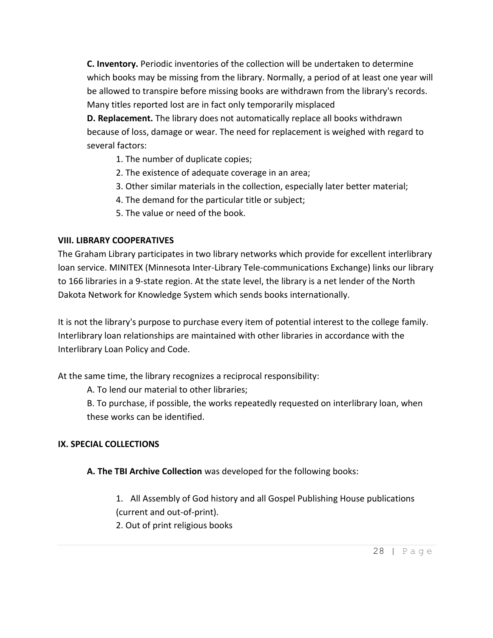**C. Inventory.** Periodic inventories of the collection will be undertaken to determine which books may be missing from the library. Normally, a period of at least one year will be allowed to transpire before missing books are withdrawn from the library's records. Many titles reported lost are in fact only temporarily misplaced

**D. Replacement.** The library does not automatically replace all books withdrawn because of loss, damage or wear. The need for replacement is weighed with regard to several factors:

- 1. The number of duplicate copies;
- 2. The existence of adequate coverage in an area;
- 3. Other similar materials in the collection, especially later better material;
- 4. The demand for the particular title or subject;
- 5. The value or need of the book.

#### **VIII. LIBRARY COOPERATIVES**

The Graham Library participates in two library networks which provide for excellent interlibrary loan service. MINITEX (Minnesota Inter-Library Tele-communications Exchange) links our library to 166 libraries in a 9-state region. At the state level, the library is a net lender of the North Dakota Network for Knowledge System which sends books internationally.

It is not the library's purpose to purchase every item of potential interest to the college family. Interlibrary loan relationships are maintained with other libraries in accordance with the Interlibrary Loan Policy and Code.

At the same time, the library recognizes a reciprocal responsibility:

A. To lend our material to other libraries;

B. To purchase, if possible, the works repeatedly requested on interlibrary loan, when these works can be identified.

#### **IX. SPECIAL COLLECTIONS**

**A. The TBI Archive Collection** was developed for the following books:

1. All Assembly of God history and all Gospel Publishing House publications (current and out-of-print).

2. Out of print religious books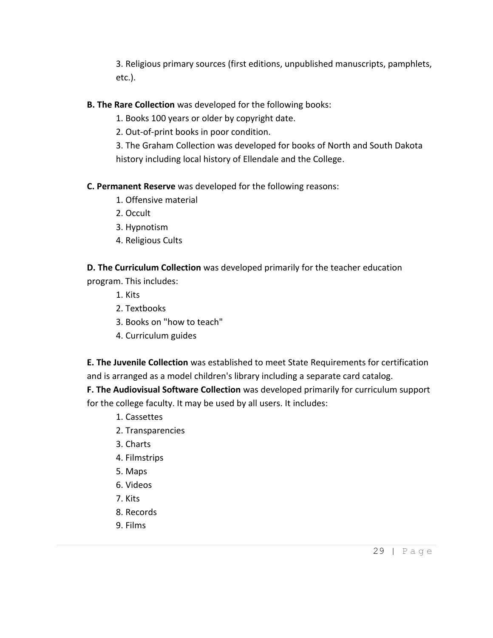3. Religious primary sources (first editions, unpublished manuscripts, pamphlets, etc.).

### **B. The Rare Collection** was developed for the following books:

- 1. Books 100 years or older by copyright date.
- 2. Out-of-print books in poor condition.
- 3. The Graham Collection was developed for books of North and South Dakota history including local history of Ellendale and the College.

#### **C. Permanent Reserve** was developed for the following reasons:

- 1. Offensive material
- 2. Occult
- 3. Hypnotism
- 4. Religious Cults

# **D. The Curriculum Collection** was developed primarily for the teacher education

program. This includes:

- 1. Kits
- 2. Textbooks
- 3. Books on "how to teach"
- 4. Curriculum guides

**E. The Juvenile Collection** was established to meet State Requirements for certification and is arranged as a model children's library including a separate card catalog.

**F. The Audiovisual Software Collection** was developed primarily for curriculum support for the college faculty. It may be used by all users. It includes:

- 1. Cassettes
- 2. Transparencies
- 3. Charts
- 4. Filmstrips
- 5. Maps
- 6. Videos
- 7. Kits
- 8. Records
- 9. Films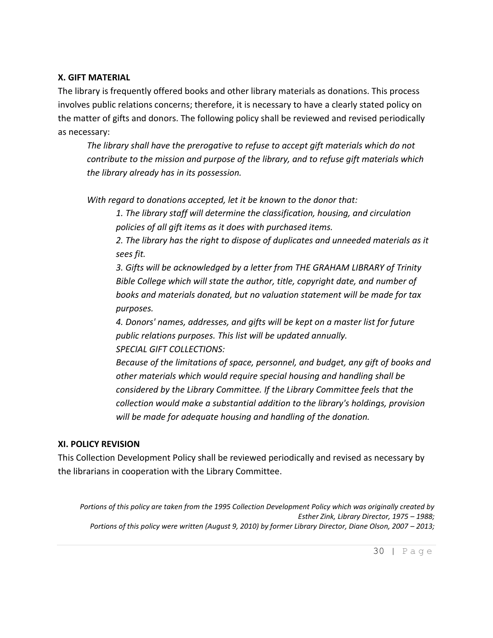#### **X. GIFT MATERIAL**

The library is frequently offered books and other library materials as donations. This process involves public relations concerns; therefore, it is necessary to have a clearly stated policy on the matter of gifts and donors. The following policy shall be reviewed and revised periodically as necessary:

*The library shall have the prerogative to refuse to accept gift materials which do not contribute to the mission and purpose of the library, and to refuse gift materials which the library already has in its possession.*

*With regard to donations accepted, let it be known to the donor that:*

*1. The library staff will determine the classification, housing, and circulation policies of all gift items as it does with purchased items.*

*2. The library has the right to dispose of duplicates and unneeded materials as it sees fit.*

*3. Gifts will be acknowledged by a letter from THE GRAHAM LIBRARY of Trinity Bible College which will state the author, title, copyright date, and number of books and materials donated, but no valuation statement will be made for tax purposes.*

*4. Donors' names, addresses, and gifts will be kept on a master list for future public relations purposes. This list will be updated annually. SPECIAL GIFT COLLECTIONS:*

*Because of the limitations of space, personnel, and budget, any gift of books and other materials which would require special housing and handling shall be considered by the Library Committee. If the Library Committee feels that the collection would make a substantial addition to the library's holdings, provision will be made for adequate housing and handling of the donation.*

#### **XI. POLICY REVISION**

This Collection Development Policy shall be reviewed periodically and revised as necessary by the librarians in cooperation with the Library Committee.

*Portions of this policy are taken from the 1995 Collection Development Policy which was originally created by Esther Zink, Library Director, 1975 – 1988; Portions of this policy were written (August 9, 2010) by former Library Director, Diane Olson, 2007 – 2013;*